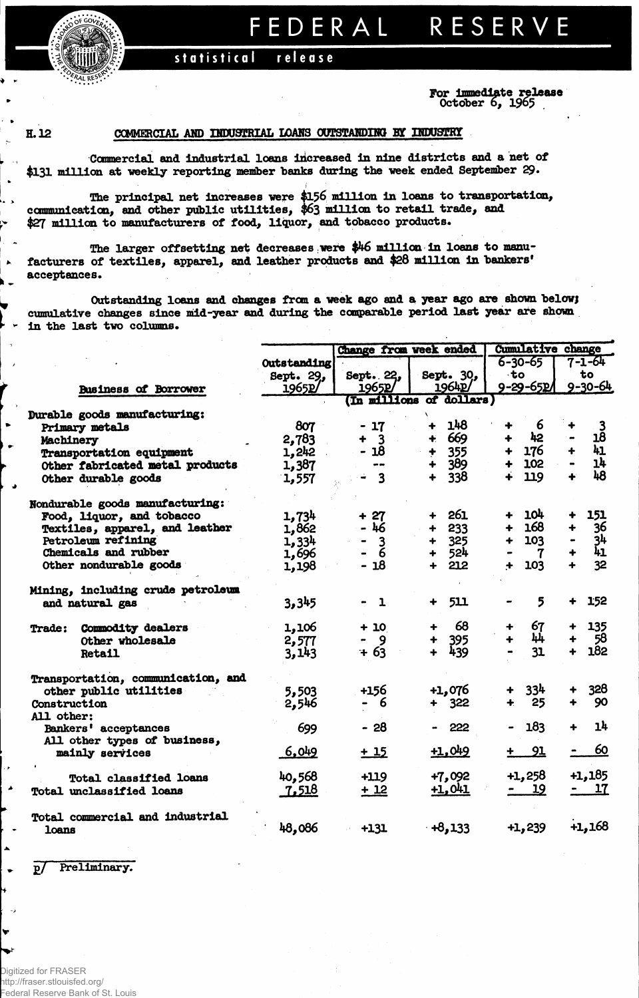FEDERAL RESERVE

## statistical release

For Immediate release diate *r e <sup>L</sup>* October 6, 1965

 $\ddot{\phantom{0}}$ لجاء

Ļ,

 $\blacktriangleright$ 

 $\mathbf{r}$ 

## H. 12 COMMERCIAL AND INDUSTRIAL LOANS OUTSTANDING BY INDUSTRY

Commercial and Industrial loans increased In nine districts and a net of \$131 million at weekly reporting member banks during the week ended September 29.

The principal net increases were \$156 million in loans to transportation, communication, and other public utilities, \$63 million to retail trade, and \$27 million to manufacturers of food, liquor, and tobacco products.

The larger offsetting net decreases were \$46 million in loans to manufacturers of textiles, apparel, and leather products and \$28 million in bankers' acceptances.

Outstanding loans and changes from a week ago and a year ago are shown below; cumulative changes since mid-year and during the comparable period last year are shown in the last two columns.

|   |                                    |             |                               | Change from week ended      | <b>Cumulative change</b>   |                                         |
|---|------------------------------------|-------------|-------------------------------|-----------------------------|----------------------------|-----------------------------------------|
|   |                                    | Outstanding |                               |                             | $6 - 30 - 65$              | $7 - 1 - 64$                            |
|   |                                    | Sept. 29,   | Sept. 22,                     | Sept. 30,                   | $\cdot$ to                 | to                                      |
|   | <b>Business of Borrower</b>        | 1965P       | 1965p                         | 1964P                       | 9-29-65PA                  | $9 - 30 - 64$                           |
|   |                                    |             |                               | (In millions of dollars)    |                            |                                         |
|   | Durable goods manufacturing:       |             |                               |                             |                            |                                         |
|   | Primary metals                     | 807         | $-17$                         | 148<br>$\ddotmark$          | 6<br>÷                     | $\frac{3}{18}$                          |
|   | Machinery                          | 2,783       | $+ 3$                         | $+ 669$                     | 42<br>$\ddot{\phantom{1}}$ |                                         |
|   | Transportation equipment           | 1,242       | $-18$                         | $+ 355$                     | + 176                      | 41<br>$+$                               |
|   | Other fabricated metal products    | 1,387       | $\blacksquare$ $\blacksquare$ | $+ 389$                     | 102<br>$+$                 | 14                                      |
|   | Other durable goods                | 1,557       | $\div$ 3                      | $+ 338$                     | 119<br>$\ddot{\bullet}$    | 48<br>٠                                 |
|   |                                    |             |                               |                             |                            |                                         |
|   | Nondurable goods manufacturing:    |             |                               |                             |                            |                                         |
|   | Food, liquor, and tobacco          | 1,734       | $+27$                         | + 261                       | + 104                      | 151                                     |
|   | Textiles, apparel, and leather     | 1,862       | $-46$                         | $+ 233$                     | 168<br>$+$                 | 36<br>$\ddot{\phantom{1}}$              |
|   | Petroleum refining                 | 1,334       | $\overline{3}$                | $+ 325$                     | 103<br>$+$                 |                                         |
|   | Chemicals and rubber               | 1,696       | $\ddot{6}$                    | + 524                       | $\mathbf{7}$               | $\frac{34}{41}$<br>$\ddot{\phantom{1}}$ |
|   | Other nondurable goods             | 1,198       | $-18$                         | $+212$                      | 103<br>$+$                 | 32                                      |
|   | Mining, including crude petroleum  |             |                               |                             |                            |                                         |
|   | and natural gas                    | 3,345       | $\mathbf{1}$                  | 511<br>$\ddot{\phantom{1}}$ | 5                          | 152                                     |
|   | Trade: Commodity dealers           | 1,106       | $+10$                         | 68<br>$+$                   | 67                         | 135                                     |
|   | Other wholesale                    | 2,577       | - 9                           | 395                         | 44                         | $+ 58$                                  |
|   | <b>Retail</b>                      | 3.143       | $+63$                         | 439<br>$+$                  | 31                         | 182                                     |
|   | Transportation, communication, and |             |                               |                             |                            |                                         |
|   | other public utilities             | 5,503       | +156                          | +1,076                      | + 334                      | 328                                     |
|   | Construction                       | 2,546       | - 6                           | $+ 322$                     | 25<br>$+$                  | 90<br>$\ddot{\bullet}$                  |
|   | All other:                         |             |                               |                             |                            |                                         |
|   | Bankers' acceptances               | 699         | $-28$                         | - 222                       | 183                        | 1 <sup>h</sup>                          |
|   | All other types of business,       |             |                               |                             |                            |                                         |
|   | mainly services                    | 6,049       | $+15$                         | $+1,049$                    | 91                         | 60                                      |
|   |                                    |             |                               |                             |                            |                                         |
|   | <b>Total classified loans</b>      | 40,568      | $+119$                        | $+7,092$                    | $+1,258$                   | +1,185                                  |
| ۸ | Total unclassified loans           | 7,518       | $+12$                         | $+1,041$                    | <u> 19</u>                 | - 17                                    |
|   | Total commercial and industrial    |             |                               |                             |                            |                                         |
|   | loans                              | 48,086      | $+131$                        | $+8,133$                    | $+1,239$                   | $+1,168$                                |

p/ Preliminary.

Â

 $\bullet$ 

Ŵ